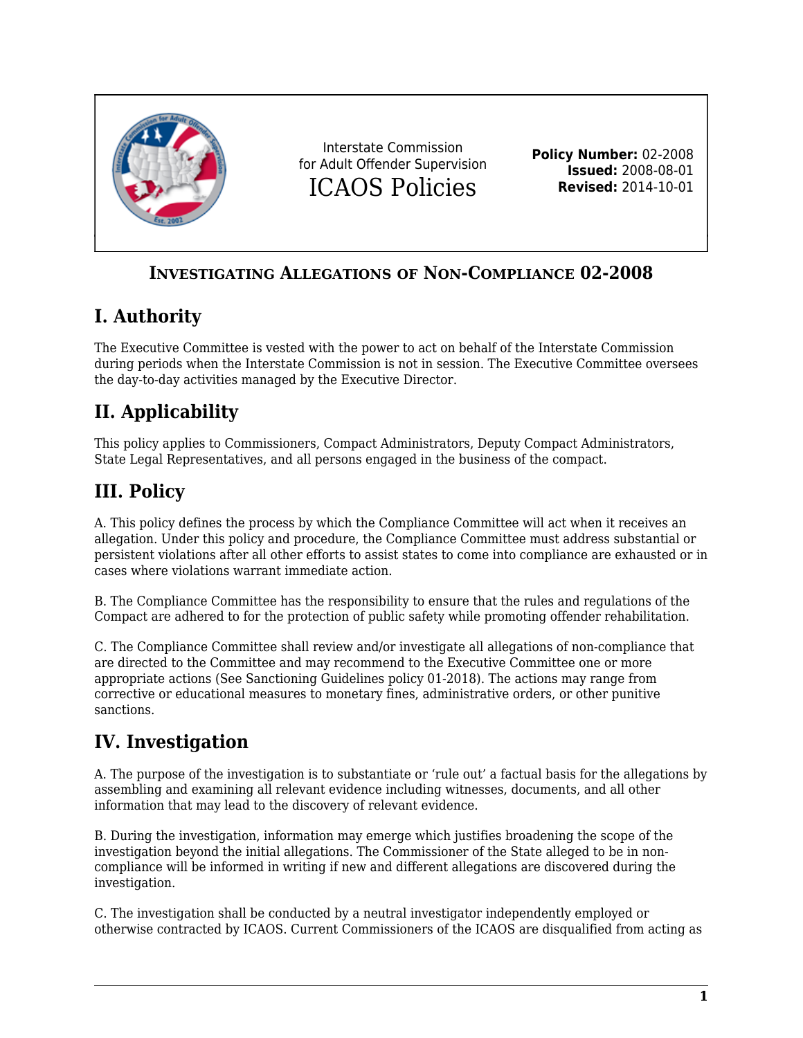

#### **INVESTIGATING ALLEGATIONS OF NON-COMPLIANCE 02-2008**

### **I. Authority**

The Executive Committee is vested with the power to act on behalf of the Interstate Commission during periods when the Interstate Commission is not in session. The Executive Committee oversees the day-to-day activities managed by the Executive Director.

# **II. Applicability**

This policy applies to Commissioners, Compact Administrators, Deputy Compact Administrators, State Legal Representatives, and all persons engaged in the business of the compact.

#### **III. Policy**

A. This policy defines the process by which the Compliance Committee will act when it receives an allegation. Under this policy and procedure, the Compliance Committee must address substantial or persistent violations after all other efforts to assist states to come into compliance are exhausted or in cases where violations warrant immediate action.

B. The Compliance Committee has the responsibility to ensure that the rules and regulations of the Compact are adhered to for the protection of public safety while promoting offender rehabilitation.

C. The Compliance Committee shall review and/or investigate all allegations of non-compliance that are directed to the Committee and may recommend to the Executive Committee one or more appropriate actions (See Sanctioning Guidelines policy 01-2018). The actions may range from corrective or educational measures to monetary fines, administrative orders, or other punitive sanctions.

## **IV. Investigation**

A. The purpose of the investigation is to substantiate or 'rule out' a factual basis for the allegations by assembling and examining all relevant evidence including witnesses, documents, and all other information that may lead to the discovery of relevant evidence.

B. During the investigation, information may emerge which justifies broadening the scope of the investigation beyond the initial allegations. The Commissioner of the State alleged to be in noncompliance will be informed in writing if new and different allegations are discovered during the investigation.

C. The investigation shall be conducted by a neutral investigator independently employed or otherwise contracted by ICAOS. Current Commissioners of the ICAOS are disqualified from acting as